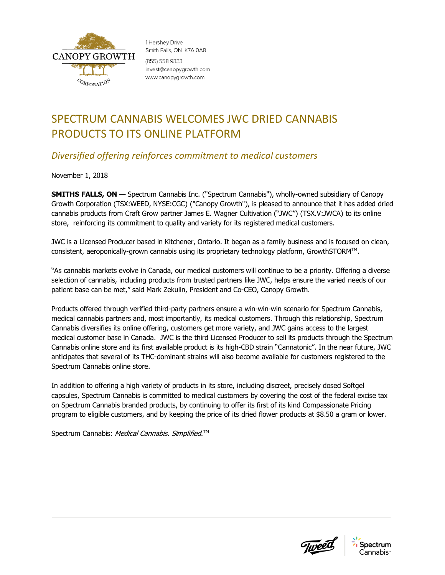

1 Hershey Drive Smith Falls, ON K7A 0A8 (855) 558 9333 invest@canopygrowth.com www.canopygrowth.com

# SPECTRUM CANNABIS WELCOMES JWC DRIED CANNABIS PRODUCTS TO ITS ONLINE PLATFORM

## *Diversified offering reinforces commitment to medical customers*

November 1, 2018

**SMITHS FALLS, ON** — Spectrum Cannabis Inc. ("Spectrum Cannabis"), wholly-owned subsidiary of Canopy Growth Corporation (TSX:WEED, NYSE:CGC) ("Canopy Growth"), is pleased to announce that it has added dried cannabis products from Craft Grow partner James E. Wagner Cultivation ("JWC") (TSX.V:JWCA) to its online store, reinforcing its commitment to quality and variety for its registered medical customers.

JWC is a Licensed Producer based in Kitchener, Ontario. It began as a family business and is focused on clean, consistent, aeroponically-grown cannabis using its proprietary technology platform, GrowthSTORM™.

"As cannabis markets evolve in Canada, our medical customers will continue to be a priority. Offering a diverse selection of cannabis, including products from trusted partners like JWC, helps ensure the varied needs of our patient base can be met," said Mark Zekulin, President and Co-CEO, Canopy Growth.

Products offered through verified third-party partners ensure a win-win-win scenario for Spectrum Cannabis, medical cannabis partners and, most importantly, its medical customers. Through this relationship, Spectrum Cannabis diversifies its online offering, customers get more variety, and JWC gains access to the largest medical customer base in Canada. JWC is the third Licensed Producer to sell its products through the Spectrum Cannabis online store and its first available product is its high-CBD strain "Cannatonic". In the near future, JWC anticipates that several of its THC-dominant strains will also become available for customers registered to the Spectrum Cannabis online store.

In addition to offering a high variety of products in its store, including discreet, precisely dosed Softgel capsules, Spectrum Cannabis is committed to medical customers by covering the cost of the federal excise tax on Spectrum Cannabis branded products, by continuing to offer its first of its kind Compassionate Pricing program to eligible customers, and by keeping the price of its dried flower products at \$8.50 a gram or lower.

Spectrum Cannabis: *Medical Cannabis. Simplified*.™